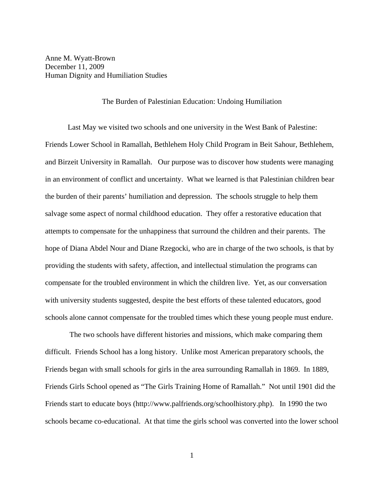Anne M. Wyatt-Brown December 11, 2009 Human Dignity and Humiliation Studies

## The Burden of Palestinian Education: Undoing Humiliation

 Last May we visited two schools and one university in the West Bank of Palestine: Friends Lower School in Ramallah, Bethlehem Holy Child Program in Beit Sahour, Bethlehem, and Birzeit University in Ramallah. Our purpose was to discover how students were managing in an environment of conflict and uncertainty. What we learned is that Palestinian children bear the burden of their parents' humiliation and depression. The schools struggle to help them salvage some aspect of normal childhood education. They offer a restorative education that attempts to compensate for the unhappiness that surround the children and their parents. The hope of Diana Abdel Nour and Diane Rzegocki, who are in charge of the two schools, is that by providing the students with safety, affection, and intellectual stimulation the programs can compensate for the troubled environment in which the children live. Yet, as our conversation with university students suggested, despite the best efforts of these talented educators, good schools alone cannot compensate for the troubled times which these young people must endure.

 The two schools have different histories and missions, which make comparing them difficult. Friends School has a long history. Unlike most American preparatory schools, the Friends began with small schools for girls in the area surrounding Ramallah in 1869. In 1889, Friends Girls School opened as "The Girls Training Home of Ramallah." Not until 1901 did the Friends start to educate boys (http://www.palfriends.org/schoolhistory.php). In 1990 the two schools became co-educational. At that time the girls school was converted into the lower school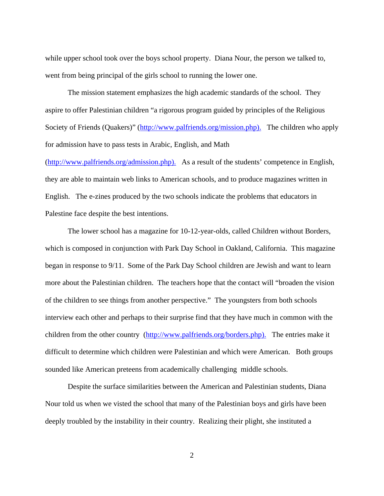while upper school took over the boys school property. Diana Nour, the person we talked to, went from being principal of the girls school to running the lower one.

 The mission statement emphasizes the high academic standards of the school. They aspire to offer Palestinian children "a rigorous program guided by principles of the Religious Society of Friends (Quakers)" (http://www.palfriends.org/mission.php). The children who apply for admission have to pass tests in Arabic, English, and Math

(http://www.palfriends.org/admission.php). As a result of the students' competence in English, they are able to maintain web links to American schools, and to produce magazines written in English. The e-zines produced by the two schools indicate the problems that educators in Palestine face despite the best intentions.

 The lower school has a magazine for 10-12-year-olds, called Children without Borders, which is composed in conjunction with Park Day School in Oakland, California. This magazine began in response to 9/11. Some of the Park Day School children are Jewish and want to learn more about the Palestinian children. The teachers hope that the contact will "broaden the vision of the children to see things from another perspective." The youngsters from both schools interview each other and perhaps to their surprise find that they have much in common with the children from the other country (http://www.palfriends.org/borders.php). The entries make it difficult to determine which children were Palestinian and which were American. Both groups sounded like American preteens from academically challenging middle schools.

 Despite the surface similarities between the American and Palestinian students, Diana Nour told us when we visted the school that many of the Palestinian boys and girls have been deeply troubled by the instability in their country. Realizing their plight, she instituted a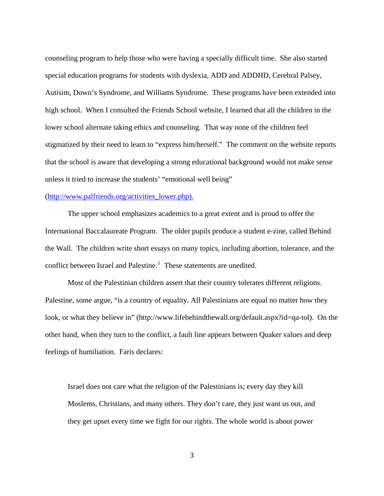counseling program to help those who were having a specially difficult time. She also started special education programs for students with dyslexia, ADD and ADDHD, Cerebral Palsey, Autisim, Down's Syndrome, and Williams Syndrome. These programs have been extended into high school. When I consulted the Friends School website, I learned that all the children in the lower school alternate taking ethics and counseling. That way none of the children feel stigmatized by their need to learn to "express him/herself." The comment on the website reports that the school is aware that developing a strong educational background would not make sense unless it tried to increase the students' "emotional well being"

## (http://www.palfriends.org/activities\_lower.php).

 The upper school emphasizes academics to a great extent and is proud to offer the International Baccalaureate Program. The older pupils produce a student e-zine, called Behind the Wall. The children write short essays on many topics, including abortion, tolerance, and the conflict between Israel and Palestine.<sup>[1](#page-7-0)</sup> These statements are unedited.

 Most of the Palestinian children assert that their country tolerates different religions. Palestine, some argue, "is a country of equality. All Palestinians are equal no matter how they look, or what they believe in" (http://www.lifebehindthewall.org/default.aspx?id=qa-tol). On the other hand, when they turn to the conflict, a fault line appears between Quaker values and deep feelings of humiliation. Faris declares:

Israel does not care what the religion of the Palestinians is; every day they kill Moslems, Christians, and many others. They don't care, they just want us out, and they get upset every time we fight for our rights. The whole world is about power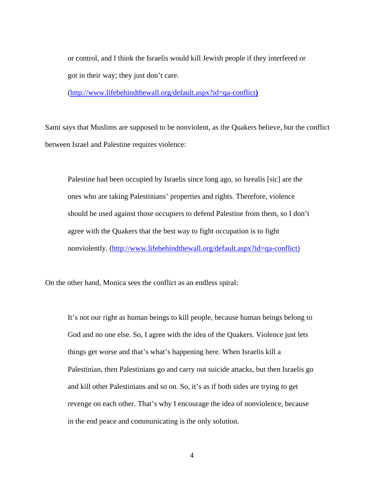or control, and I think the Israelis would kill Jewish people if they interfered or got in their way; they just don't care.

(http://www.lifebehindthewall.org/default.aspx?id=qa-conflict**)**

Sami says that Muslims are supposed to be nonviolent, as the Quakers believe, but the conflict between Israel and Palestine requires violence:

Palestine had been occupied by Israelis since long ago, so Isrealis [sic] are the ones who are taking Palestinians' properties and rights. Therefore, violence should be used against those occupiers to defend Palestine from them, so I don't agree with the Quakers that the best way to fight occupation is to fight nonviolently. (http://www.lifebehindthewall.org/default.aspx?id=qa-conflict)

On the other hand, Monica sees the conflict as an endless spiral:

It's not our right as human beings to kill people, because human beings belong to God and no one else. So, I agree with the idea of the Quakers. Violence just lets things get worse and that's what's happening here. When Israelis kill a Palestinian, then Palestinians go and carry out suicide attacks, but then Israelis go and kill other Palestinians and so on. So, it's as if both sides are trying to get revenge on each other. That's why I encourage the idea of nonviolence, because in the end peace and communicating is the only solution.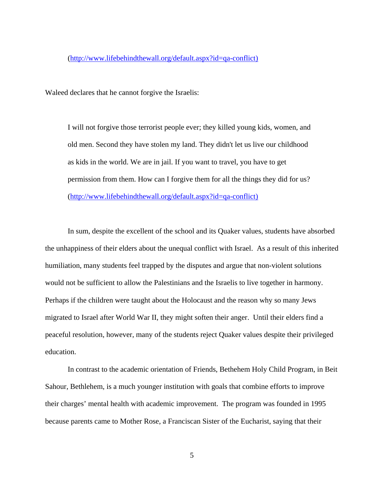Waleed declares that he cannot forgive the Israelis:

I will not forgive those terrorist people ever; they killed young kids, women, and old men. Second they have stolen my land. They didn't let us live our childhood as kids in the world. We are in jail. If you want to travel, you have to get permission from them. How can I forgive them for all the things they did for us? (http://www.lifebehindthewall.org/default.aspx?id=qa-conflict)

 In sum, despite the excellent of the school and its Quaker values, students have absorbed the unhappiness of their elders about the unequal conflict with Israel. As a result of this inherited humiliation, many students feel trapped by the disputes and argue that non-violent solutions would not be sufficient to allow the Palestinians and the Israelis to live together in harmony. Perhaps if the children were taught about the Holocaust and the reason why so many Jews migrated to Israel after World War II, they might soften their anger. Until their elders find a peaceful resolution, however, many of the students reject Quaker values despite their privileged education.

 In contrast to the academic orientation of Friends, Bethehem Holy Child Program, in Beit Sahour, Bethlehem, is a much younger institution with goals that combine efforts to improve their charges' mental health with academic improvement. The program was founded in 1995 because parents came to Mother Rose, a Franciscan Sister of the Eucharist, saying that their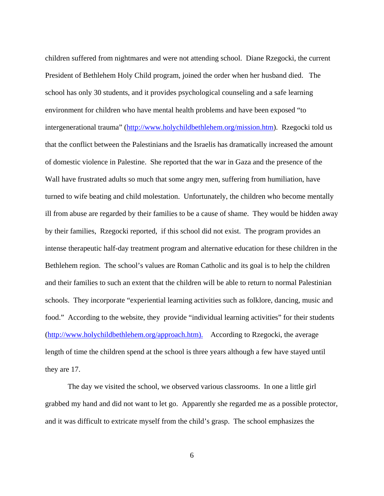children suffered from nightmares and were not attending school. Diane Rzegocki, the current President of Bethlehem Holy Child program, joined the order when her husband died. The school has only 30 students, and it provides psychological counseling and a safe learning environment for children who have mental health problems and have been exposed "to intergenerational trauma" [\(http://www.holychildbethlehem.org/mission.htm](http://www.holychildbethlehem.org/mission.htm)). Rzegocki told us that the conflict between the Palestinians and the Israelis has dramatically increased the amount of domestic violence in Palestine. She reported that the war in Gaza and the presence of the Wall have frustrated adults so much that some angry men, suffering from humiliation, have turned to wife beating and child molestation. Unfortunately, the children who become mentally ill from abuse are regarded by their families to be a cause of shame. They would be hidden away by their families, Rzegocki reported, if this school did not exist. The program provides an intense therapeutic half-day treatment program and alternative education for these children in the Bethlehem region. The school's values are Roman Catholic and its goal is to help the children and their families to such an extent that the children will be able to return to normal Palestinian schools. They incorporate "experiential learning activities such as folklore, dancing, music and food." According to the website, they provide "individual learning activities" for their students (http://www.holychildbethlehem.org/approach.htm). According to Rzegocki, the average length of time the children spend at the school is three years although a few have stayed until they are 17.

 The day we visited the school, we observed various classrooms. In one a little girl grabbed my hand and did not want to let go. Apparently she regarded me as a possible protector, and it was difficult to extricate myself from the child's grasp. The school emphasizes the

6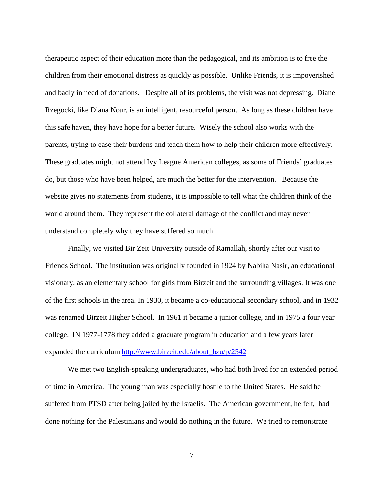therapeutic aspect of their education more than the pedagogical, and its ambition is to free the children from their emotional distress as quickly as possible. Unlike Friends, it is impoverished and badly in need of donations. Despite all of its problems, the visit was not depressing. Diane Rzegocki, like Diana Nour, is an intelligent, resourceful person. As long as these children have this safe haven, they have hope for a better future. Wisely the school also works with the parents, trying to ease their burdens and teach them how to help their children more effectively. These graduates might not attend Ivy League American colleges, as some of Friends' graduates do, but those who have been helped, are much the better for the intervention. Because the website gives no statements from students, it is impossible to tell what the children think of the world around them. They represent the collateral damage of the conflict and may never understand completely why they have suffered so much.

 Finally, we visited Bir Zeit University outside of Ramallah, shortly after our visit to Friends School. The institution was originally founded in 1924 by Nabiha Nasir, an educational visionary, as an elementary school for girls from Birzeit and the surrounding villages. It was one of the first schools in the area. In 1930, it became a co-educational secondary school, and in 1932 was renamed Birzeit Higher School. In 1961 it became a junior college, and in 1975 a four year college. IN 1977-1778 they added a graduate program in education and a few years later expanded the curriculum [http://www.birzeit.edu/about\\_bzu/p/2542](http://www.birzeit.edu/about_bzu/p/2542)

 We met two English-speaking undergraduates, who had both lived for an extended period of time in America. The young man was especially hostile to the United States. He said he suffered from PTSD after being jailed by the Israelis. The American government, he felt, had done nothing for the Palestinians and would do nothing in the future. We tried to remonstrate

7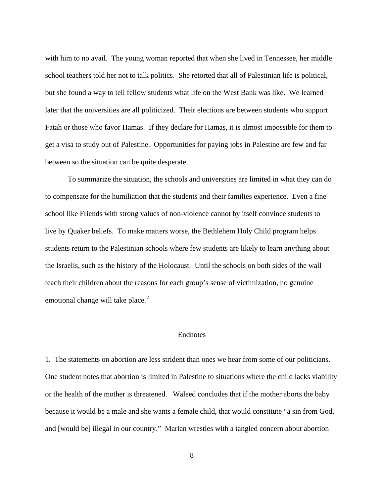with him to no avail. The young woman reported that when she lived in Tennessee, her middle school teachers told her not to talk politics. She retorted that all of Palestinian life is political, but she found a way to tell fellow students what life on the West Bank was like. We learned later that the universities are all politicized. Their elections are between students who support Fatah or those who favor Hamas. If they declare for Hamas, it is almost impossible for them to get a visa to study out of Palestine. Opportunities for paying jobs in Palestine are few and far between so the situation can be quite desperate.

 To summarize the situation, the schools and universities are limited in what they can do to compensate for the humiliation that the students and their families experience. Even a fine school like Friends with strong values of non-violence cannot by itself convince students to live by Quaker beliefs. To make matters worse, the Bethlehem Holy Child program helps students return to the Palestinian schools where few students are likely to learn anything about the Israelis, such as the history of the Holocaust. Until the schools on both sides of the wall teach their children about the reasons for each group's sense of victimization, no genuine emotional change will take place. $2$ 

## Endnotes

 $\overline{a}$ 

<span id="page-7-0"></span>1. The statements on abortion are less strident than ones we hear from some of our politicians. One student notes that abortion is limited in Palestine to situations where the child lacks viability or the health of the mother is threatened. Waleed concludes that if the mother aborts the baby because it would be a male and she wants a female child, that would constitute "a sin from God, and [would be] illegal in our country." Marian wrestles with a tangled concern about abortion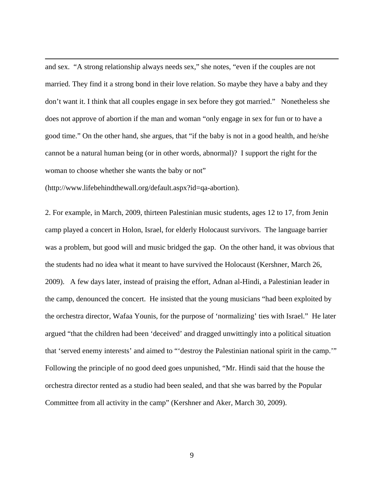and sex. "A strong relationship always needs sex," she notes, "even if the couples are not married. They find it a strong bond in their love relation. So maybe they have a baby and they don't want it. I think that all couples engage in sex before they got married." Nonetheless she does not approve of abortion if the man and woman "only engage in sex for fun or to have a good time." On the other hand, she argues, that "if the baby is not in a good health, and he/she cannot be a natural human being (or in other words, abnormal)? I support the right for the woman to choose whether she wants the baby or not"

(http://www.lifebehindthewall.org/default.aspx?id=qa-abortion).

<span id="page-8-0"></span> $\overline{a}$ 

2. For example, in March, 2009, thirteen Palestinian music students, ages 12 to 17, from Jenin camp played a concert in Holon, Israel, for elderly Holocaust survivors. The language barrier was a problem, but good will and music bridged the gap. On the other hand, it was obvious that the students had no idea what it meant to have survived the Holocaust (Kershner, March 26, 2009). A few days later, instead of praising the effort, Adnan al-Hindi, a Palestinian leader in the camp, denounced the concert. He insisted that the young musicians "had been exploited by the orchestra director, Wafaa Younis, for the purpose of 'normalizing' ties with Israel." He later argued "that the children had been 'deceived' and dragged unwittingly into a political situation that 'served enemy interests' and aimed to "'destroy the Palestinian national spirit in the camp.'" Following the principle of no good deed goes unpunished, "Mr. Hindi said that the house the orchestra director rented as a studio had been sealed, and that she was barred by the Popular Committee from all activity in the camp" (Kershner and Aker, March 30, 2009).

9